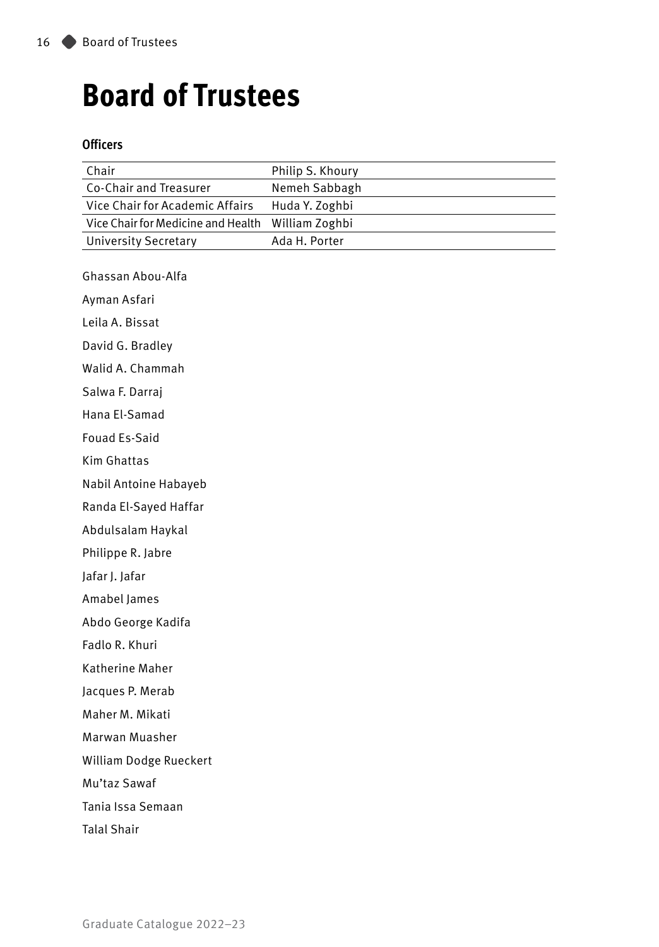# **Board of Trustees**

#### **Officers**

| Chair                              | Philip S. Khoury |
|------------------------------------|------------------|
| Co-Chair and Treasurer             | Nemeh Sabbagh    |
| Vice Chair for Academic Affairs    | Huda Y. Zoghbi   |
| Vice Chair for Medicine and Health | William Zoghbi   |
| <b>University Secretary</b>        | Ada H. Porter    |
| Ghassan Abou-Alfa                  |                  |
| Ayman Asfari                       |                  |
| Leila A. Bissat                    |                  |
| David G. Bradley                   |                  |
| Walid A. Chammah                   |                  |
| Salwa F. Darraj                    |                  |
| Hana El-Samad                      |                  |
| <b>Fouad Es-Said</b>               |                  |
| Kim Ghattas                        |                  |
| Nabil Antoine Habayeb              |                  |
| Randa El-Sayed Haffar              |                  |
| Abdulsalam Haykal                  |                  |
| Philippe R. Jabre                  |                  |
| Jafar J. Jafar                     |                  |
| Amabel James                       |                  |
| Abdo George Kadifa                 |                  |
| Fadlo R. Khuri                     |                  |
| Katherine Maher                    |                  |
| Jacques P. Merab                   |                  |
| Maher M. Mikati                    |                  |
| Marwan Muasher                     |                  |
| William Dodge Rueckert             |                  |
| Mu'taz Sawaf                       |                  |
| Tania Issa Semaan                  |                  |
| <b>Talal Shair</b>                 |                  |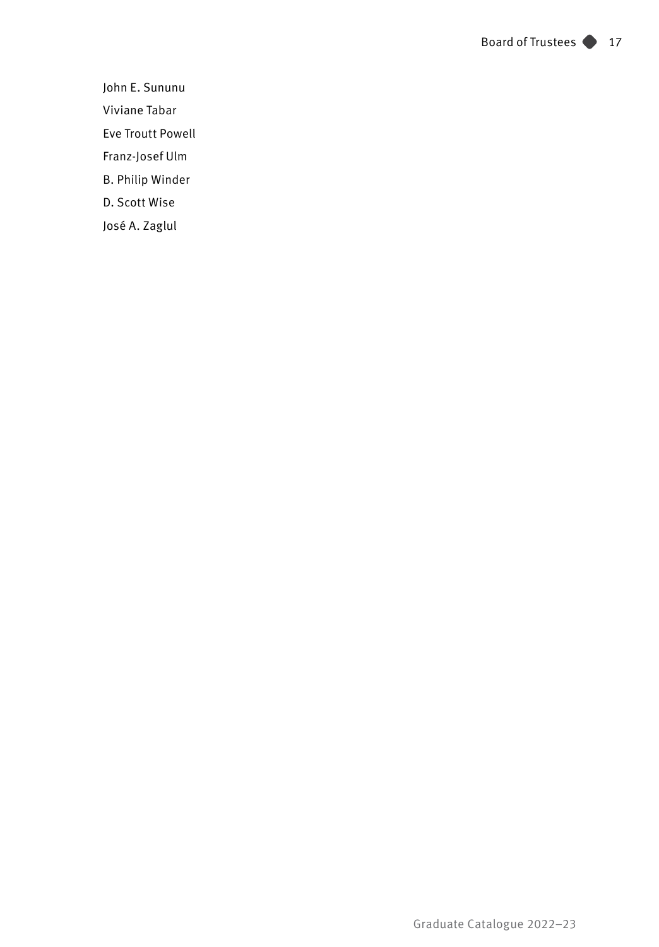John E. Sununu Viviane Tabar Eve Troutt Powell Franz-Josef Ulm B. Philip Winder D. Scott Wise

José A. Zaglul

Graduate Catalogue 2022–23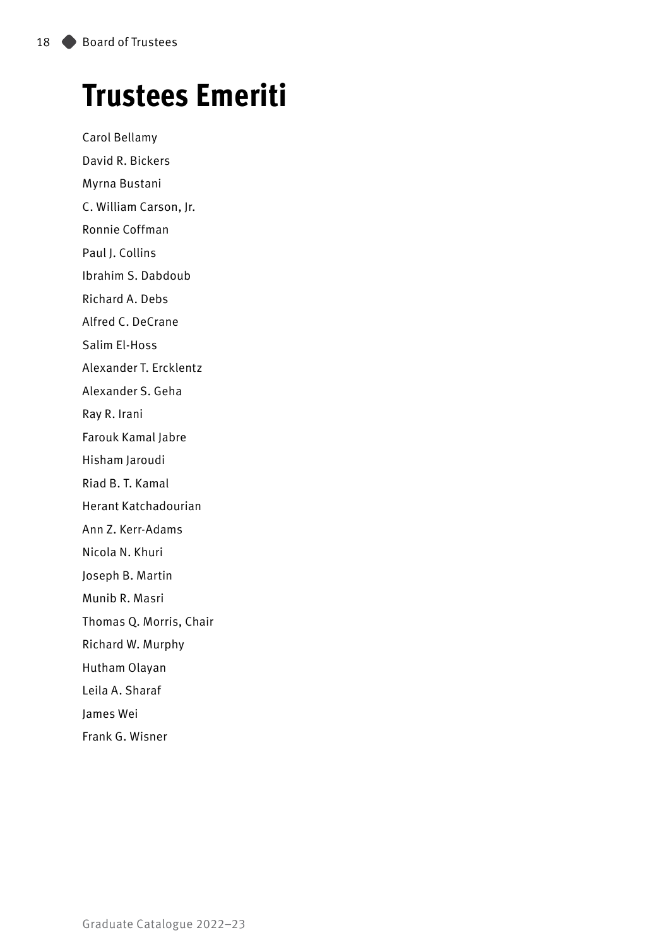# **Trustees Emeriti**

Carol Bellamy David R. Bickers Myrna Bustani C. William Carson, Jr. Ronnie Coffman Paul J. Collins Ibrahim S. Dabdoub Richard A. Debs Alfred C. DeCrane Salim El-Hoss Alexander T. Ercklentz Alexander S. Geha Ray R. Irani Farouk Kamal Jabre Hisham Jaroudi Riad B. T. Kamal Herant Katchadourian Ann Z. Kerr-Adams Nicola N. Khuri Joseph B. Martin Munib R. Masri Thomas Q. Morris, Chair Richard W. Murphy Hutham Olayan Leila A. Sharaf James Wei Frank G. Wisner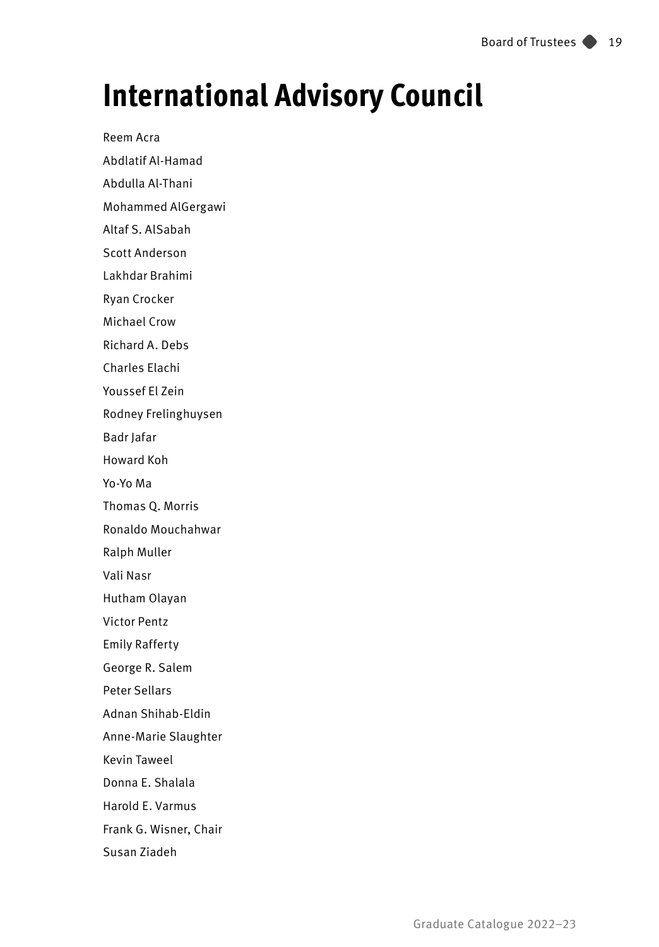# **International Advisory Council**

Reem Acra

Abdlatif Al-Hamad

Abdulla Al-Thani

Mohammed AlGergawi

Altaf S. AlSabah

Scott Anderson

Lakhdar Brahimi

Ryan Crocker

Michael Crow

Richard A. Debs

Charles Elachi

Youssef El Zein

Rodney Frelinghuysen

Badr Jafar

Howard Koh

Yo-Yo Ma

Thomas Q. Morris

Ronaldo Mouchahwar

Ralph Muller

Vali Nasr

Hutham Olayan

Victor Pentz

Emily Rafferty

George R. Salem

Peter Sellars

Adnan Shihab-Eldin

Anne-Marie Slaughter

Kevin Taweel

Donna E. Shalala

Harold E. Varmus

Frank G. Wisner, Chair

Susan Ziadeh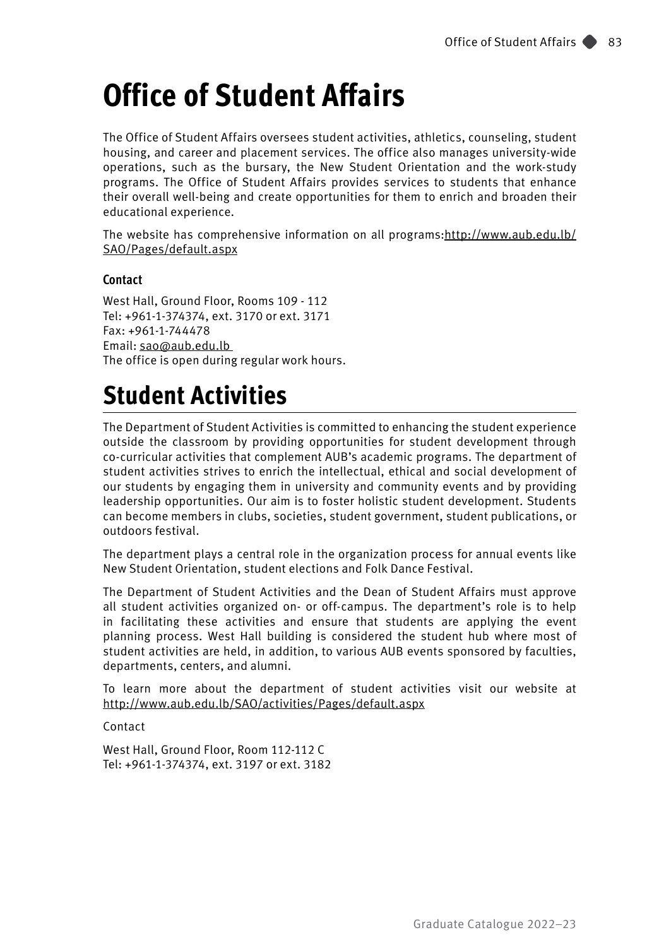# **Office of Student Affairs**

The Office of Student Affairs oversees student activities, athletics, counseling, student housing, and career and placement services. The office also manages university-wide operations, such as the bursary, the New Student Orientation and the work-study programs. The Office of Student Affairs provides services to students that enhance their overall well-being and create opportunities for them to enrich and broaden their educational experience.

The website has comprehensive information on all programs:http://www.aub.edu.lb/ SAO/Pages/default.aspx

#### **Contact**

West Hall, Ground Floor, Rooms 109 - 112 Tel: +961-1-374374, ext. 3170 or ext. 3171 Fax: +961-1-744478 Email: sao@aub.edu.lb The office is open during regular work hours.

## **Student Activities**

The Department of Student Activities is committed to enhancing the student experience outside the classroom by providing opportunities for student development through co-curricular activities that complement AUB's academic programs. The department of student activities strives to enrich the intellectual, ethical and social development of our students by engaging them in university and community events and by providing leadership opportunities. Our aim is to foster holistic student development. Students can become members in clubs, societies, student government, student publications, or outdoors festival.

The department plays a central role in the organization process for annual events like New Student Orientation, student elections and Folk Dance Festival.

The Department of Student Activities and the Dean of Student Affairs must approve all student activities organized on- or off-campus. The department's role is to help in facilitating these activities and ensure that students are applying the event planning process. West Hall building is considered the student hub where most of student activities are held, in addition, to various AUB events sponsored by faculties, departments, centers, and alumni.

To learn more about the department of student activities visit our website at http://www.aub.edu.lb/SAO/activities/Pages/default.aspx

Contact

West Hall, Ground Floor, Room 112-112 C Tel: +961-1-374374, ext. 3197 or ext. 3182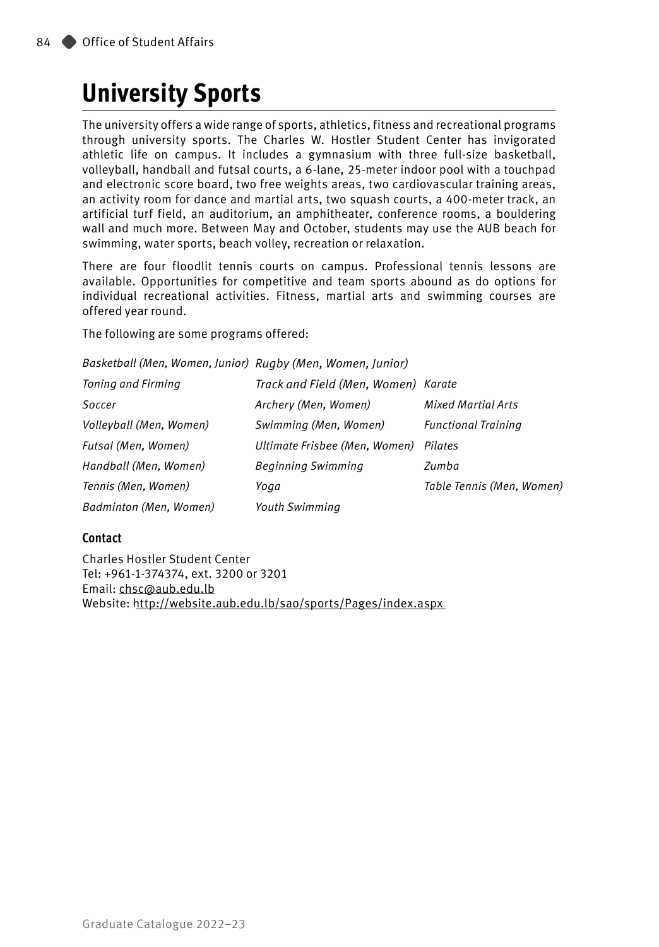### **University Sports**

The university offers a wide range of sports, athletics, fitness and recreational programs through university sports. The Charles W. Hostler Student Center has invigorated athletic life on campus. It includes a gymnasium with three full-size basketball, volleyball, handball and futsal courts, a 6-lane, 25-meter indoor pool with a touchpad and electronic score board, two free weights areas, two cardiovascular training areas, an activity room for dance and martial arts, two squash courts, a 400-meter track, an artificial turf field, an auditorium, an amphitheater, conference rooms, a bouldering wall and much more. Between May and October, students may use the AUB beach for swimming, water sports, beach volley, recreation or relaxation.

There are four floodlit tennis courts on campus. Professional tennis lessons are available. Opportunities for competitive and team sports abound as do options for individual recreational activities. Fitness, martial arts and swimming courses are offered year round.

The following are some programs offered:

*Basketball (Men, Women, Junior) Rugby (Men, Women, Junior)*

| Toning and Firming      | Track and Field (Men, Women) Karate |                            |
|-------------------------|-------------------------------------|----------------------------|
| Soccer                  | Archery (Men, Women)                | <b>Mixed Martial Arts</b>  |
| Volleyball (Men, Women) | Swimming (Men, Women)               | <b>Functional Training</b> |
| Futsal (Men, Women)     | Ultimate Frisbee (Men, Women)       | Pilates                    |
| Handball (Men, Women)   | <b>Beginning Swimming</b>           | Zumba                      |
| Tennis (Men, Women)     | Yoga                                | Table Tennis (Men, Women)  |
| Badminton (Men, Women)  | <b>Youth Swimming</b>               |                            |

#### **Contact**

Charles Hostler Student Center Tel: +961-1-374374, ext. 3200 or 3201 Email: [chsc@aub.edu.lb](mailto:chsc@aub.edu.lb) Website:<http://website.aub.edu.lb/sao/sports/Pages/index.aspx>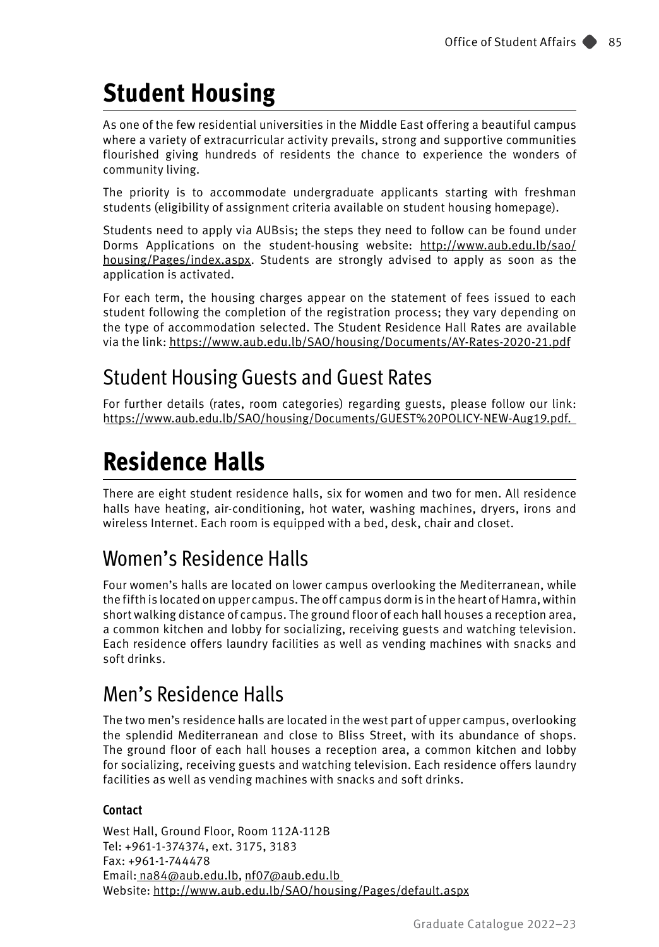## **Student Housing**

As one of the few residential universities in the Middle East offering a beautiful campus where a variety of extracurricular activity prevails, strong and supportive communities flourished giving hundreds of residents the chance to experience the wonders of community living.

The priority is to accommodate undergraduate applicants starting with freshman students (eligibility of assignment criteria available on student housing homepage).

Students need to apply via AUBsis; the steps they need to follow can be found under Dorms Applications on the student-housing website: http://www.aub.edu.lb/sao/ housing/Pages/index.aspx. Students are strongly advised to apply as soon as the application is activated.

For each term, the housing charges appear on the statement of fees issued to each student following the completion of the registration process; they vary depending on the type of accommodation selected. The Student Residence Hall Rates are available via the link: https://www.aub.edu.lb/SAO/housing/Documents/AY-Rates-2020-21.pdf

### Student Housing Guests and Guest Rates

For further details (rates, room categories) regarding guests, please follow our link: https://www.aub.edu.lb/SAO/housing/Documents/GUEST%20POLICY-NEW-Aug19.pdf.

### **Residence Halls**

There are eight student residence halls, six for women and two for men. All residence halls have heating, air-conditioning, hot water, washing machines, dryers, irons and wireless Internet. Each room is equipped with a bed, desk, chair and closet.

### Women's Residence Halls

Four women's halls are located on lower campus overlooking the Mediterranean, while the fifth is located on upper campus. The off campus dorm is in the heart of Hamra, within short walking distance of campus. The ground floor of each hall houses a reception area, a common kitchen and lobby for socializing, receiving guests and watching television. Each residence offers laundry facilities as well as vending machines with snacks and soft drinks.

### Men's Residence Halls

The two men's residence halls are located in the west part of upper campus, overlooking the splendid Mediterranean and close to Bliss Street, with its abundance of shops. The ground floor of each hall houses a reception area, a common kitchen and lobby for socializing, receiving guests and watching television. Each residence offers laundry facilities as well as vending machines with snacks and soft drinks.

#### **Contact**

West Hall, Ground Floor, Room 112A-112B Tel: +961-1-374374, ext. 3175, 3183 Fax: +961-1-744478 Email: na84@aub.edu.lb, nf07@aub.edu.lb Website: http://www.aub.edu.lb/SAO/housing/Pages/default.aspx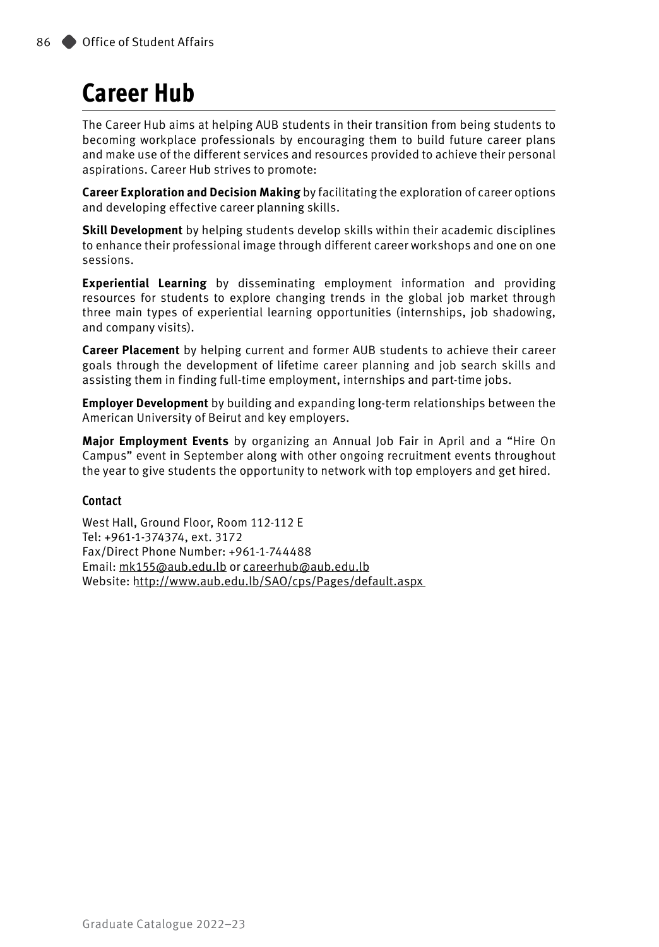## **Career Hub**

The Career Hub aims at helping AUB students in their transition from being students to becoming workplace professionals by encouraging them to build future career plans and make use of the different services and resources provided to achieve their personal aspirations. Career Hub strives to promote:

**Career Exploration and Decision Making** by facilitating the exploration of career options and developing effective career planning skills.

**Skill Development** by helping students develop skills within their academic disciplines to enhance their professional image through different career workshops and one on one sessions.

**Experiential Learning** by disseminating employment information and providing resources for students to explore changing trends in the global job market through three main types of experiential learning opportunities (internships, job shadowing, and company visits).

**Career Placement** by helping current and former AUB students to achieve their career goals through the development of lifetime career planning and job search skills and assisting them in finding full-time employment, internships and part-time jobs.

**Employer Development** by building and expanding long-term relationships between the American University of Beirut and key employers.

**Major Employment Events** by organizing an Annual Job Fair in April and a "Hire On Campus" event in September along with other ongoing recruitment events throughout the year to give students the opportunity to network with top employers and get hired.

#### **Contact**

West Hall, Ground Floor, Room 112-112 E Tel: +961-1-374374, ext. 3172 Fax/Direct Phone Number: +961-1-744488 Email: [mk155@aub.edu.lb](http://mk155@aub.edu.lb) or [careerhub@aub.edu.lb](mailto:careerhub@aub.edu.lb) Website:<http://www.aub.edu.lb/SAO/cps/Pages/default.aspx>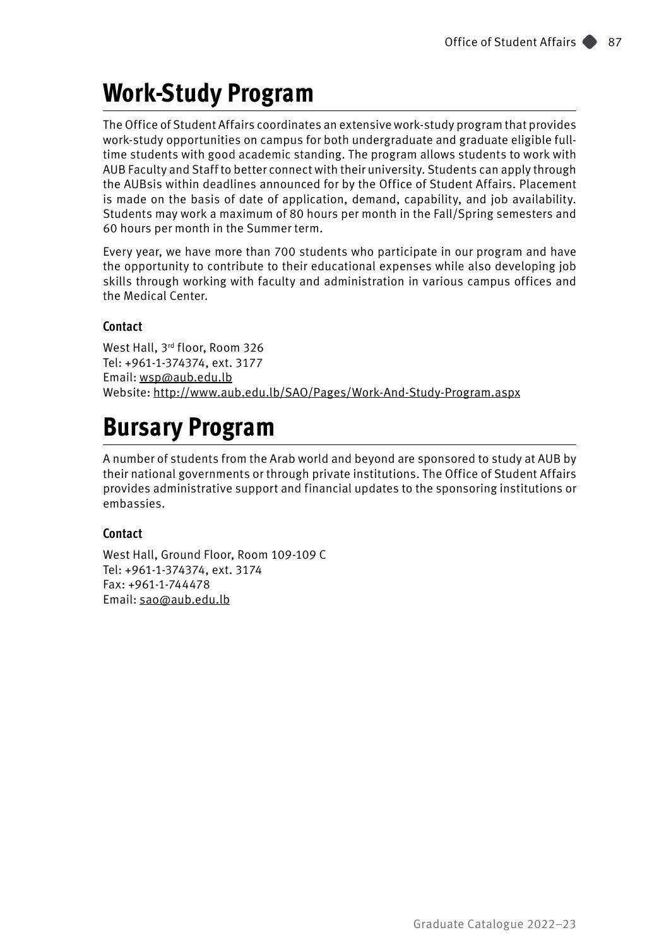## **Work-Study Program**

The Office of Student Affairs coordinates an extensive work-study program that provides work-study opportunities on campus for both undergraduate and graduate eligible fulltime students with good academic standing. The program allows students to work with AUB Faculty and Staff to better connect with their university. Students can apply through the AUBsis within deadlines announced for by the Office of Student Affairs. Placement is made on the basis of date of application, demand, capability, and job availability. Students may work a maximum of 80 hours per month in the Fall/Spring semesters and 60 hours per month in the Summer term.

Every year, we have more than 700 students who participate in our program and have the opportunity to contribute to their educational expenses while also developing job skills through working with faculty and administration in various campus offices and the Medical Center.

#### **Contact**

West Hall, 3rd floor, Room 326 Tel: +961-1-374374, ext. 3177 Email: [wsp@aub.edu.lb](mailto:wsp@aub.edu.lb) Website: <http://www.aub.edu.lb/SAO/Pages/Work-And-Study-Program.aspx>

## **Bursary Program**

A number of students from the Arab world and beyond are sponsored to study at AUB by their national governments or through private institutions. The Office of Student Affairs provides administrative support and financial updates to the sponsoring institutions or embassies.

#### **Contact**

West Hall, Ground Floor, Room 109-109 C Tel: +961-1-374374, ext. 3174 Fax: +961-1-744478 Email: [sao@aub.edu.lb](mailto:sao@aub.edu.lb)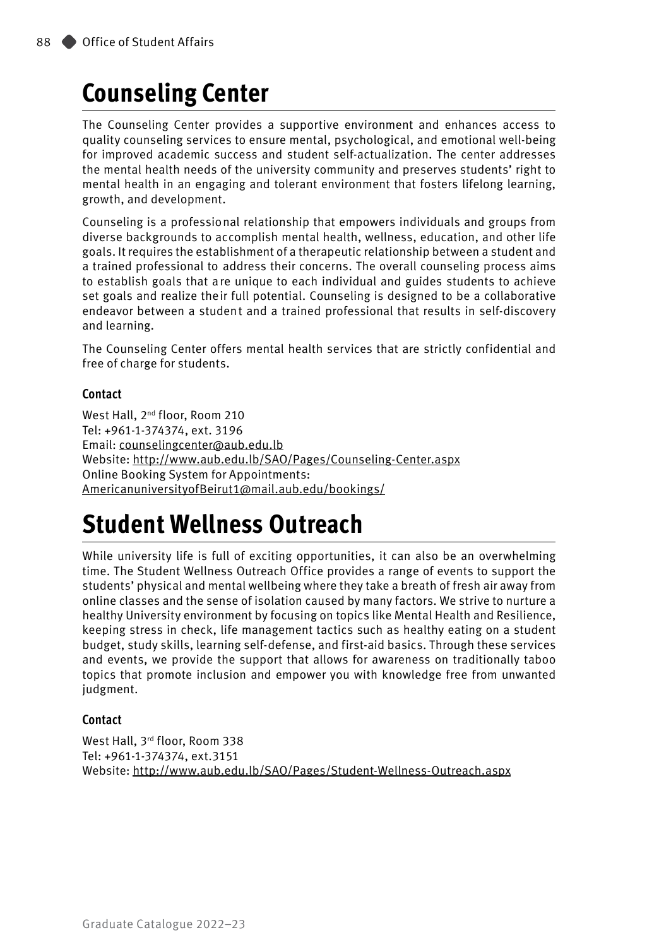## **Counseling Center**

The Counseling Center provides a supportive environment and enhances access to quality counseling services to ensure mental, psychological, and emotional well-being for improved academic success and student self-actualization. The center addresses the mental health needs of the university community and preserves students' right to mental health in an engaging and tolerant environment that fosters lifelong learning, growth, and development.

Counseling is a professional relationship that empowers individuals and groups from diverse backgrounds to accomplish mental health, wellness, education, and other life goals. It requires the establishment of a therapeutic relationship between a student and a trained professional to address their concerns. The overall counseling process aims to establish goals that are unique to each individual and guides students to achieve set goals and realize their full potential. Counseling is designed to be a collaborative endeavor between a student and a trained professional that results in self-discovery and learning.

The Counseling Center offers mental health services that are strictly confidential and free of charge for students.

#### **Contact**

West Hall, 2<sup>nd</sup> floor, Room 210 Tel: +961-1-374374, ext. 3196 Email: [counselingcenter@aub.edu.lb](mailto:counselingcenter@aub.edu.lb) Website:<http://www.aub.edu.lb/SAO/Pages/Counseling-Center.aspx> Online Booking System for Appointments: [AmericanuniversityofBeirut1@mail.aub.edu/](mailto:AmericanuniversityofBeirut1@mail.aub.edu)bookings/

### **Student Wellness Outreach**

While university life is full of exciting opportunities, it can also be an overwhelming time. The Student Wellness Outreach Office provides a range of events to support the students' physical and mental wellbeing where they take a breath of fresh air away from online classes and the sense of isolation caused by many factors. We strive to nurture a healthy University environment by focusing on topics like Mental Health and Resilience, keeping stress in check, life management tactics such as healthy eating on a student budget, study skills, learning self-defense, and first-aid basics. Through these services and events, we provide the support that allows for awareness on traditionally taboo topics that promote inclusion and empower you with knowledge free from unwanted judgment.

#### **Contact**

West Hall, 3<sup>rd</sup> floor, Room 338 Tel: +961-1-374374, ext.3151 Website:<http://www.aub.edu.lb/SAO/Pages/Student-Wellness-Outreach.aspx>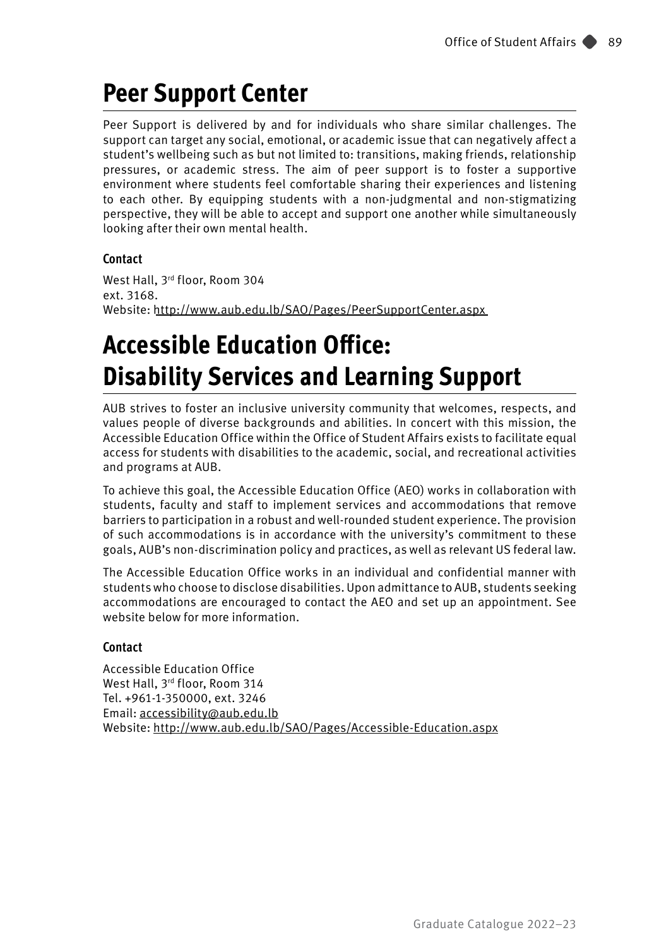### **Peer Support Center**

Peer Support is delivered by and for individuals who share similar challenges. The support can target any social, emotional, or academic issue that can negatively affect a student's wellbeing such as but not limited to: transitions, making friends, relationship pressures, or academic stress. The aim of peer support is to foster a supportive environment where students feel comfortable sharing their experiences and listening to each other. By equipping students with a non-judgmental and non-stigmatizing perspective, they will be able to accept and support one another while simultaneously looking after their own mental health.

#### **Contact**

West Hall, 3rd floor, Room 304 ext. 3168. Website: <http://www.aub.edu.lb/SAO/Pages/PeerSupportCenter.aspx>

## **Accessible Education Office: Disability Services and Learning Support**

AUB strives to foster an inclusive university community that welcomes, respects, and values people of diverse backgrounds and abilities. In concert with this mission, the Accessible Education Office within the Office of Student Affairs exists to facilitate equal access for students with disabilities to the academic, social, and recreational activities and programs at AUB.

To achieve this goal, the Accessible Education Office (AEO) works in collaboration with students, faculty and staff to implement services and accommodations that remove barriers to participation in a robust and well-rounded student experience. The provision of such accommodations is in accordance with the university's commitment to these goals, AUB's non-discrimination policy and practices, as well as relevant US federal law.

The Accessible Education Office works in an individual and confidential manner with students who choose to disclose disabilities. Upon admittance to AUB, students seeking accommodations are encouraged to contact the AEO and set up an appointment. See website below for more information.

#### **Contact**

Accessible Education Office West Hall, 3rd floor, Room 314 Tel. +961-1-350000, ext. 3246 Email: [accessibility@aub.edu.lb](mailto:accessibility%40aub.edu.lb?subject=) Website: <http://www.aub.edu.lb/SAO/Pages/Accessible-Education.aspx>